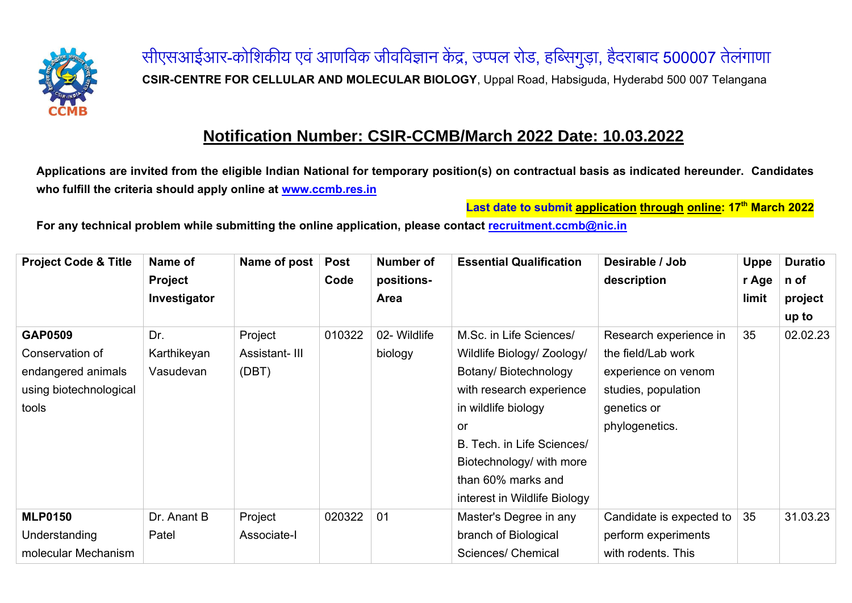

सीएसआईआर-कोशिकीय एवं आणविक जीवविज्ञान केंद्र, उप्पल रोड, हब्सिगुड़ा, हैदराबाद <mark>500007</mark> तेलंगाणा **CSIR-CENTRE FOR CELLULAR AND MOLECULAR BIOLOGY**, Uppal Road, Habsiguda, Hyderabd 500 007 Telangana

## **Notification Number: CSIR-CCMB/March 2022 Date: 10.03.2022**

**Applications are invited from the eligible Indian National for temporary position(s) on contractual basis as indicated hereunder. Candidates who fulfill the criteria should apply online at [www.ccmb.res.in](http://www.ccmb.res.in/)**

**Last date to submit application through online: 17 th March 2022**

**For any technical problem while submitting the online application, please contact [recruitment.ccmb@nic.in](mailto:recruitment.ccmb@nic.in)**

| <b>Project Code &amp; Title</b> | Name of        | Name of post  | <b>Post</b> | Number of    | <b>Essential Qualification</b> | Desirable / Job          | <b>Uppe</b> | <b>Duratio</b> |
|---------------------------------|----------------|---------------|-------------|--------------|--------------------------------|--------------------------|-------------|----------------|
|                                 | <b>Project</b> |               | Code        | positions-   |                                | description              | r Age       | n of           |
|                                 | Investigator   |               |             | Area         |                                |                          | limit       | project        |
|                                 |                |               |             |              |                                |                          |             | up to          |
| <b>GAP0509</b>                  | Dr.            | Project       | 010322      | 02- Wildlife | M.Sc. in Life Sciences/        | Research experience in   | 35          | 02.02.23       |
| Conservation of                 | Karthikeyan    | Assistant-III |             | biology      | Wildlife Biology/ Zoology/     | the field/Lab work       |             |                |
| endangered animals              | Vasudevan      | (DBT)         |             |              | Botany/Biotechnology           | experience on venom      |             |                |
| using biotechnological          |                |               |             |              | with research experience       | studies, population      |             |                |
| tools                           |                |               |             |              | in wildlife biology            | genetics or              |             |                |
|                                 |                |               |             |              | .or                            | phylogenetics.           |             |                |
|                                 |                |               |             |              | B. Tech. in Life Sciences/     |                          |             |                |
|                                 |                |               |             |              | Biotechnology/ with more       |                          |             |                |
|                                 |                |               |             |              | than 60% marks and             |                          |             |                |
|                                 |                |               |             |              | interest in Wildlife Biology   |                          |             |                |
| <b>MLP0150</b>                  | Dr. Anant B    | Project       | 020322      | 01           | Master's Degree in any         | Candidate is expected to | 35          | 31.03.23       |
| Understanding                   | Patel          | Associate-I   |             |              | branch of Biological           | perform experiments      |             |                |
| molecular Mechanism             |                |               |             |              | <b>Sciences/ Chemical</b>      | with rodents. This       |             |                |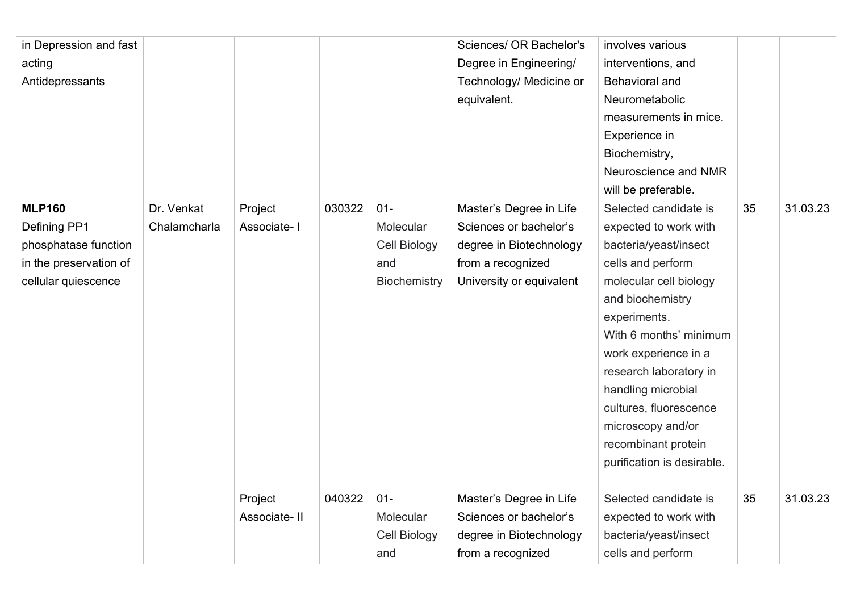| in Depression and fast |              |              |        |              | Sciences/ OR Bachelor's  | involves various           |    |          |
|------------------------|--------------|--------------|--------|--------------|--------------------------|----------------------------|----|----------|
| acting                 |              |              |        |              | Degree in Engineering/   | interventions, and         |    |          |
| Antidepressants        |              |              |        |              | Technology/ Medicine or  | Behavioral and             |    |          |
|                        |              |              |        |              | equivalent.              | Neurometabolic             |    |          |
|                        |              |              |        |              |                          | measurements in mice.      |    |          |
|                        |              |              |        |              |                          | Experience in              |    |          |
|                        |              |              |        |              |                          | Biochemistry,              |    |          |
|                        |              |              |        |              |                          | Neuroscience and NMR       |    |          |
|                        |              |              |        |              |                          | will be preferable.        |    |          |
| <b>MLP160</b>          | Dr. Venkat   | Project      | 030322 | $01 -$       | Master's Degree in Life  | Selected candidate is      | 35 | 31.03.23 |
| Defining PP1           | Chalamcharla | Associate-I  |        | Molecular    | Sciences or bachelor's   | expected to work with      |    |          |
| phosphatase function   |              |              |        | Cell Biology | degree in Biotechnology  | bacteria/yeast/insect      |    |          |
| in the preservation of |              |              |        | and          | from a recognized        | cells and perform          |    |          |
| cellular quiescence    |              |              |        | Biochemistry | University or equivalent | molecular cell biology     |    |          |
|                        |              |              |        |              |                          | and biochemistry           |    |          |
|                        |              |              |        |              |                          | experiments.               |    |          |
|                        |              |              |        |              |                          | With 6 months' minimum     |    |          |
|                        |              |              |        |              |                          | work experience in a       |    |          |
|                        |              |              |        |              |                          | research laboratory in     |    |          |
|                        |              |              |        |              |                          | handling microbial         |    |          |
|                        |              |              |        |              |                          | cultures, fluorescence     |    |          |
|                        |              |              |        |              |                          | microscopy and/or          |    |          |
|                        |              |              |        |              |                          | recombinant protein        |    |          |
|                        |              |              |        |              |                          | purification is desirable. |    |          |
|                        |              |              |        |              |                          |                            |    |          |
|                        |              | Project      | 040322 | $01 -$       | Master's Degree in Life  | Selected candidate is      | 35 | 31.03.23 |
|                        |              | Associate-II |        | Molecular    | Sciences or bachelor's   | expected to work with      |    |          |
|                        |              |              |        | Cell Biology | degree in Biotechnology  | bacteria/yeast/insect      |    |          |
|                        |              |              |        | and          | from a recognized        | cells and perform          |    |          |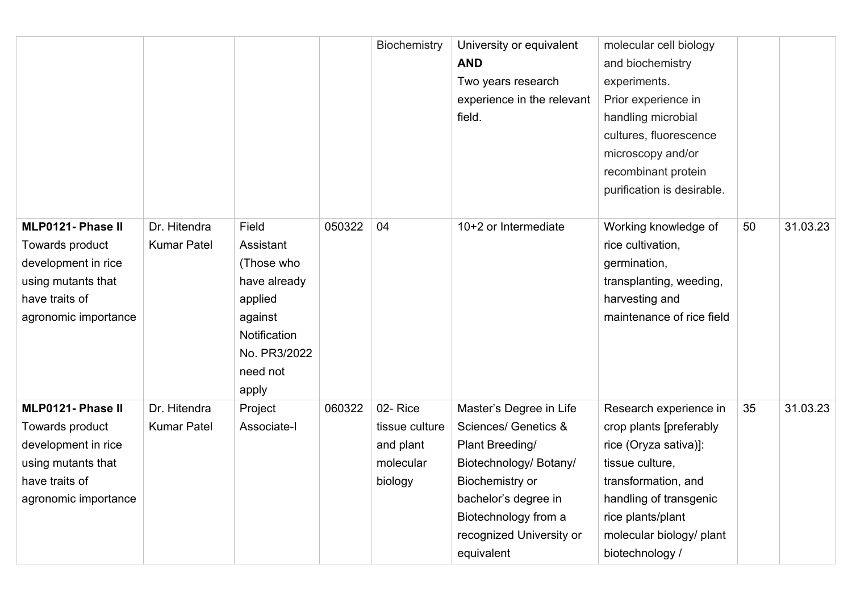|                                                                                                                             |                                    |                                                                                                                             |        | Biochemistry                                                   | University or equivalent<br><b>AND</b><br>Two years research<br>experience in the relevant<br>field.                                                                                                      | molecular cell biology<br>and biochemistry<br>experiments.<br>Prior experience in<br>handling microbial<br>cultures, fluorescence<br>microscopy and/or<br>recombinant protein<br>purification is desirable.        |    |          |
|-----------------------------------------------------------------------------------------------------------------------------|------------------------------------|-----------------------------------------------------------------------------------------------------------------------------|--------|----------------------------------------------------------------|-----------------------------------------------------------------------------------------------------------------------------------------------------------------------------------------------------------|--------------------------------------------------------------------------------------------------------------------------------------------------------------------------------------------------------------------|----|----------|
| MLP0121- Phase II<br>Towards product<br>development in rice<br>using mutants that<br>have traits of<br>agronomic importance | Dr. Hitendra<br><b>Kumar Patel</b> | Field<br>Assistant<br>(Those who<br>have already<br>applied<br>against<br>Notification<br>No. PR3/2022<br>need not<br>apply | 050322 | 04                                                             | 10+2 or Intermediate                                                                                                                                                                                      | Working knowledge of<br>rice cultivation,<br>germination,<br>transplanting, weeding,<br>harvesting and<br>maintenance of rice field                                                                                | 50 | 31.03.23 |
| MLP0121- Phase II<br>Towards product<br>development in rice<br>using mutants that<br>have traits of<br>agronomic importance | Dr. Hitendra<br><b>Kumar Patel</b> | Project<br>Associate-I                                                                                                      | 060322 | 02-Rice<br>tissue culture<br>and plant<br>molecular<br>biology | Master's Degree in Life<br>Sciences/ Genetics &<br>Plant Breeding/<br>Biotechnology/ Botany/<br>Biochemistry or<br>bachelor's degree in<br>Biotechnology from a<br>recognized University or<br>equivalent | Research experience in<br>crop plants [preferably<br>rice (Oryza sativa)]:<br>tissue culture,<br>transformation, and<br>handling of transgenic<br>rice plants/plant<br>molecular biology/ plant<br>biotechnology / | 35 | 31.03.23 |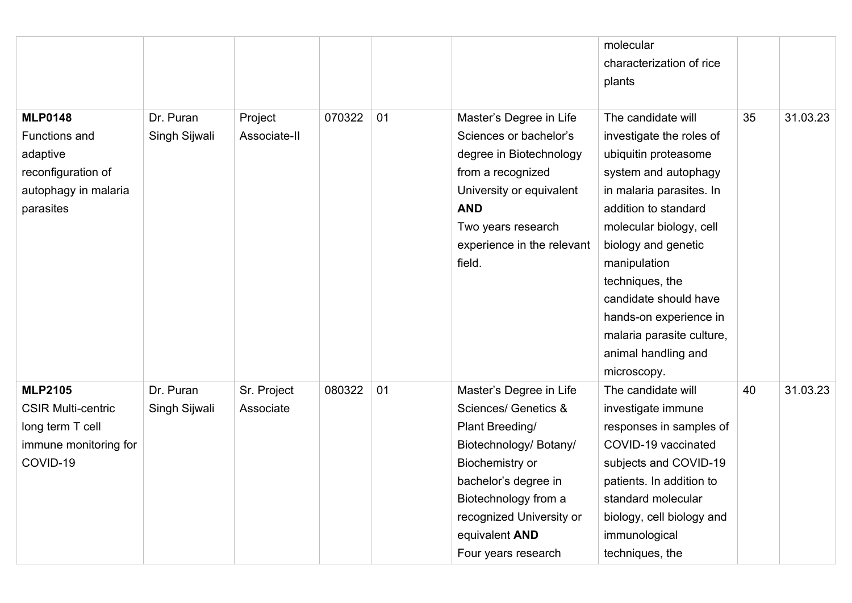|                                                                                                        |                            |                          |        |    |                                                                                                                                                                                                                                                 | molecular<br>characterization of rice<br>plants                                                                                                                                                                                                                                                                                                               |    |          |
|--------------------------------------------------------------------------------------------------------|----------------------------|--------------------------|--------|----|-------------------------------------------------------------------------------------------------------------------------------------------------------------------------------------------------------------------------------------------------|---------------------------------------------------------------------------------------------------------------------------------------------------------------------------------------------------------------------------------------------------------------------------------------------------------------------------------------------------------------|----|----------|
| <b>MLP0148</b><br>Functions and<br>adaptive<br>reconfiguration of<br>autophagy in malaria<br>parasites | Dr. Puran<br>Singh Sijwali | Project<br>Associate-II  | 070322 | 01 | Master's Degree in Life<br>Sciences or bachelor's<br>degree in Biotechnology<br>from a recognized<br>University or equivalent<br><b>AND</b><br>Two years research<br>experience in the relevant<br>field.                                       | The candidate will<br>investigate the roles of<br>ubiquitin proteasome<br>system and autophagy<br>in malaria parasites. In<br>addition to standard<br>molecular biology, cell<br>biology and genetic<br>manipulation<br>techniques, the<br>candidate should have<br>hands-on experience in<br>malaria parasite culture,<br>animal handling and<br>microscopy. | 35 | 31.03.23 |
| <b>MLP2105</b><br><b>CSIR Multi-centric</b><br>long term T cell<br>immune monitoring for<br>COVID-19   | Dr. Puran<br>Singh Sijwali | Sr. Project<br>Associate | 080322 | 01 | Master's Degree in Life<br><b>Sciences/ Genetics &amp;</b><br>Plant Breeding/<br>Biotechnology/ Botany/<br>Biochemistry or<br>bachelor's degree in<br>Biotechnology from a<br>recognized University or<br>equivalent AND<br>Four years research | The candidate will<br>investigate immune<br>responses in samples of<br>COVID-19 vaccinated<br>subjects and COVID-19<br>patients. In addition to<br>standard molecular<br>biology, cell biology and<br>immunological<br>techniques, the                                                                                                                        | 40 | 31.03.23 |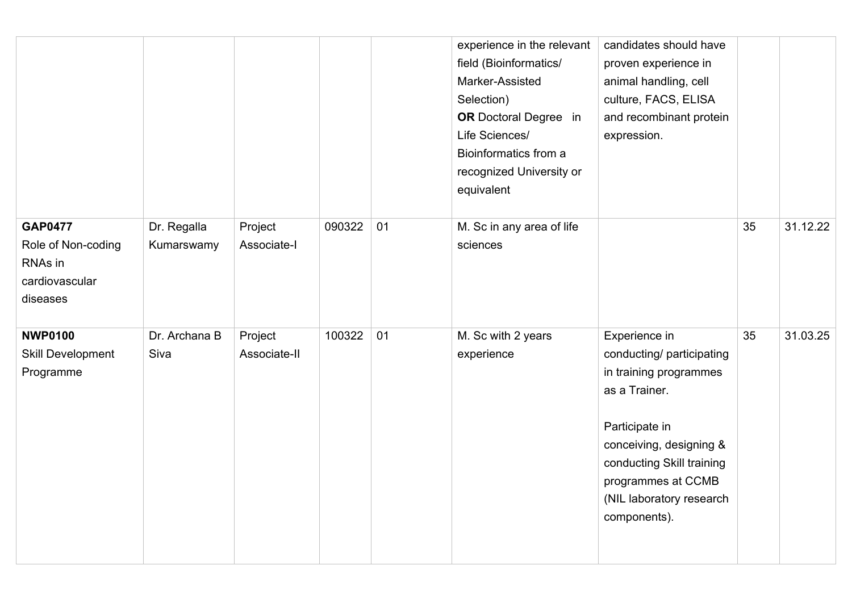|                                                                               |                           |                         |        |    | experience in the relevant<br>field (Bioinformatics/<br>Marker-Assisted<br>Selection)<br><b>OR</b> Doctoral Degree in<br>Life Sciences/<br>Bioinformatics from a<br>recognized University or | candidates should have<br>proven experience in<br>animal handling, cell<br>culture, FACS, ELISA<br>and recombinant protein<br>expression.                                                                                         |    |          |
|-------------------------------------------------------------------------------|---------------------------|-------------------------|--------|----|----------------------------------------------------------------------------------------------------------------------------------------------------------------------------------------------|-----------------------------------------------------------------------------------------------------------------------------------------------------------------------------------------------------------------------------------|----|----------|
|                                                                               |                           |                         |        |    | equivalent                                                                                                                                                                                   |                                                                                                                                                                                                                                   |    |          |
| <b>GAP0477</b><br>Role of Non-coding<br>RNAs in<br>cardiovascular<br>diseases | Dr. Regalla<br>Kumarswamy | Project<br>Associate-I  | 090322 | 01 | M. Sc in any area of life<br>sciences                                                                                                                                                        |                                                                                                                                                                                                                                   | 35 | 31.12.22 |
| <b>NWP0100</b><br><b>Skill Development</b><br>Programme                       | Dr. Archana B<br>Siva     | Project<br>Associate-II | 100322 | 01 | M. Sc with 2 years<br>experience                                                                                                                                                             | Experience in<br>conducting/ participating<br>in training programmes<br>as a Trainer.<br>Participate in<br>conceiving, designing &<br>conducting Skill training<br>programmes at CCMB<br>(NIL laboratory research<br>components). | 35 | 31.03.25 |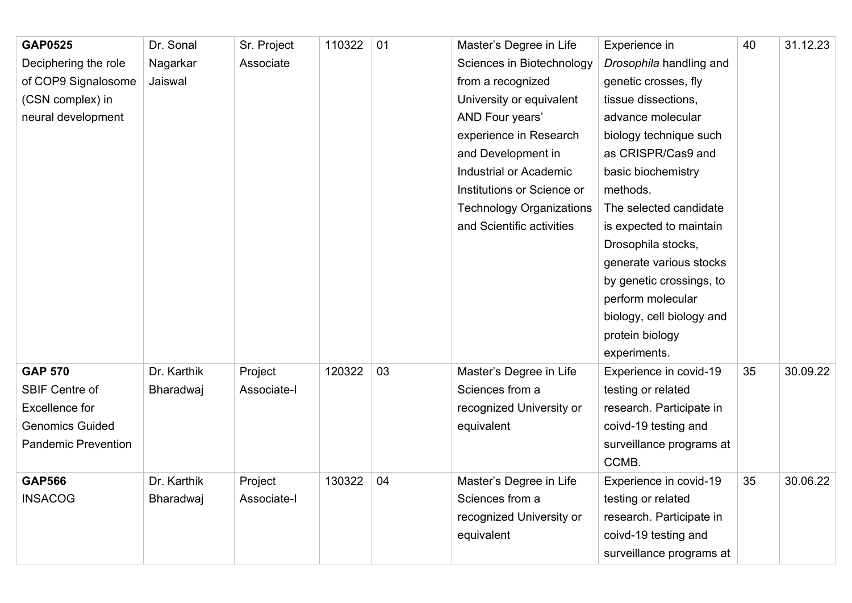| <b>GAP0525</b>             | Dr. Sonal        | Sr. Project | 110322 | 01 | Master's Degree in Life         | Experience in             | 40 | 31.12.23 |
|----------------------------|------------------|-------------|--------|----|---------------------------------|---------------------------|----|----------|
| Deciphering the role       | Nagarkar         | Associate   |        |    | Sciences in Biotechnology       | Drosophila handling and   |    |          |
| of COP9 Signalosome        | Jaiswal          |             |        |    | from a recognized               | genetic crosses, fly      |    |          |
| (CSN complex) in           |                  |             |        |    | University or equivalent        | tissue dissections,       |    |          |
| neural development         |                  |             |        |    | AND Four years'                 | advance molecular         |    |          |
|                            |                  |             |        |    | experience in Research          | biology technique such    |    |          |
|                            |                  |             |        |    | and Development in              | as CRISPR/Cas9 and        |    |          |
|                            |                  |             |        |    | Industrial or Academic          | basic biochemistry        |    |          |
|                            |                  |             |        |    | Institutions or Science or      | methods.                  |    |          |
|                            |                  |             |        |    | <b>Technology Organizations</b> | The selected candidate    |    |          |
|                            |                  |             |        |    | and Scientific activities       | is expected to maintain   |    |          |
|                            |                  |             |        |    |                                 | Drosophila stocks,        |    |          |
|                            |                  |             |        |    |                                 | generate various stocks   |    |          |
|                            |                  |             |        |    |                                 | by genetic crossings, to  |    |          |
|                            |                  |             |        |    |                                 | perform molecular         |    |          |
|                            |                  |             |        |    |                                 | biology, cell biology and |    |          |
|                            |                  |             |        |    |                                 | protein biology           |    |          |
|                            |                  |             |        |    |                                 | experiments.              |    |          |
| <b>GAP 570</b>             | Dr. Karthik      | Project     | 120322 | 03 | Master's Degree in Life         | Experience in covid-19    | 35 | 30.09.22 |
| <b>SBIF Centre of</b>      | <b>Bharadwaj</b> | Associate-I |        |    | Sciences from a                 | testing or related        |    |          |
| <b>Excellence for</b>      |                  |             |        |    | recognized University or        | research. Participate in  |    |          |
| <b>Genomics Guided</b>     |                  |             |        |    | equivalent                      | coivd-19 testing and      |    |          |
| <b>Pandemic Prevention</b> |                  |             |        |    |                                 | surveillance programs at  |    |          |
|                            |                  |             |        |    |                                 | CCMB.                     |    |          |
| <b>GAP566</b>              | Dr. Karthik      | Project     | 130322 | 04 | Master's Degree in Life         | Experience in covid-19    | 35 | 30.06.22 |
| <b>INSACOG</b>             | Bharadwaj        | Associate-I |        |    | Sciences from a                 | testing or related        |    |          |
|                            |                  |             |        |    | recognized University or        | research. Participate in  |    |          |
|                            |                  |             |        |    | equivalent                      | coivd-19 testing and      |    |          |
|                            |                  |             |        |    |                                 | surveillance programs at  |    |          |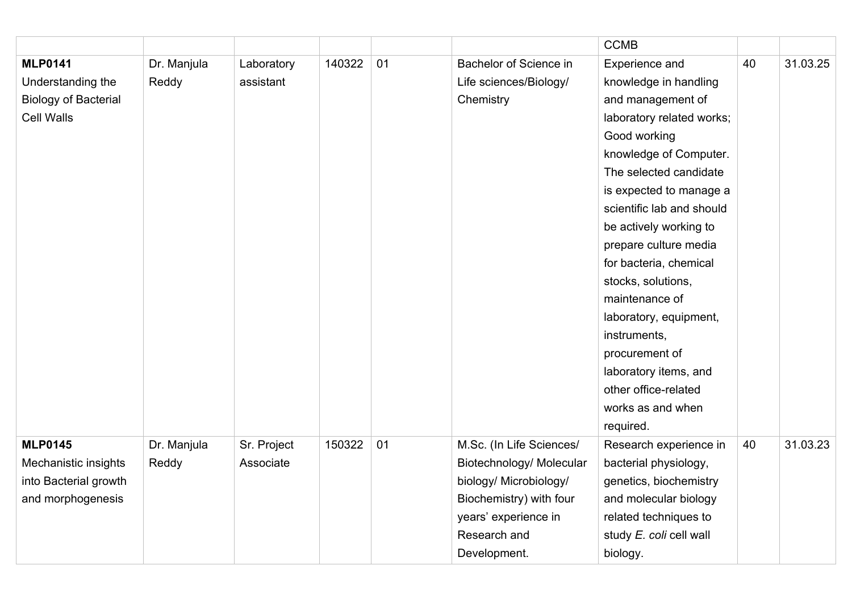|                             |             |             |        |    |                               | <b>CCMB</b>               |    |          |
|-----------------------------|-------------|-------------|--------|----|-------------------------------|---------------------------|----|----------|
| <b>MLP0141</b>              | Dr. Manjula | Laboratory  | 140322 | 01 | <b>Bachelor of Science in</b> | Experience and            | 40 | 31.03.25 |
| Understanding the           | Reddy       | assistant   |        |    | Life sciences/Biology/        | knowledge in handling     |    |          |
| <b>Biology of Bacterial</b> |             |             |        |    | Chemistry                     | and management of         |    |          |
| <b>Cell Walls</b>           |             |             |        |    |                               | laboratory related works; |    |          |
|                             |             |             |        |    |                               | Good working              |    |          |
|                             |             |             |        |    |                               | knowledge of Computer.    |    |          |
|                             |             |             |        |    |                               | The selected candidate    |    |          |
|                             |             |             |        |    |                               | is expected to manage a   |    |          |
|                             |             |             |        |    |                               | scientific lab and should |    |          |
|                             |             |             |        |    |                               | be actively working to    |    |          |
|                             |             |             |        |    |                               | prepare culture media     |    |          |
|                             |             |             |        |    |                               | for bacteria, chemical    |    |          |
|                             |             |             |        |    |                               | stocks, solutions,        |    |          |
|                             |             |             |        |    |                               | maintenance of            |    |          |
|                             |             |             |        |    |                               | laboratory, equipment,    |    |          |
|                             |             |             |        |    |                               | instruments,              |    |          |
|                             |             |             |        |    |                               | procurement of            |    |          |
|                             |             |             |        |    |                               | laboratory items, and     |    |          |
|                             |             |             |        |    |                               | other office-related      |    |          |
|                             |             |             |        |    |                               | works as and when         |    |          |
|                             |             |             |        |    |                               | required.                 |    |          |
| <b>MLP0145</b>              | Dr. Manjula | Sr. Project | 150322 | 01 | M.Sc. (In Life Sciences/      | Research experience in    | 40 | 31.03.23 |
| Mechanistic insights        | Reddy       | Associate   |        |    | Biotechnology/ Molecular      | bacterial physiology,     |    |          |
| into Bacterial growth       |             |             |        |    | biology/ Microbiology/        | genetics, biochemistry    |    |          |
| and morphogenesis           |             |             |        |    | Biochemistry) with four       | and molecular biology     |    |          |
|                             |             |             |        |    | years' experience in          | related techniques to     |    |          |
|                             |             |             |        |    | Research and                  | study E. coli cell wall   |    |          |
|                             |             |             |        |    | Development.                  | biology.                  |    |          |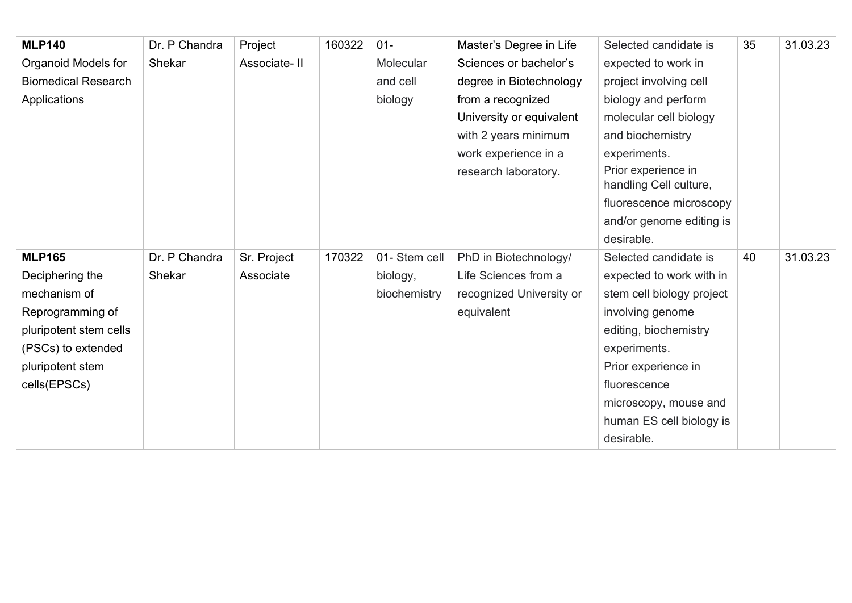| <b>MLP140</b>              | Dr. P Chandra | Project      | 160322 | $01 -$        | Master's Degree in Life  | Selected candidate is                         | 35 | 31.03.23 |
|----------------------------|---------------|--------------|--------|---------------|--------------------------|-----------------------------------------------|----|----------|
| Organoid Models for        | Shekar        | Associate-II |        | Molecular     | Sciences or bachelor's   | expected to work in                           |    |          |
| <b>Biomedical Research</b> |               |              |        | and cell      | degree in Biotechnology  | project involving cell                        |    |          |
| Applications               |               |              |        | biology       | from a recognized        | biology and perform                           |    |          |
|                            |               |              |        |               | University or equivalent | molecular cell biology                        |    |          |
|                            |               |              |        |               | with 2 years minimum     | and biochemistry                              |    |          |
|                            |               |              |        |               | work experience in a     | experiments.                                  |    |          |
|                            |               |              |        |               | research laboratory.     | Prior experience in<br>handling Cell culture, |    |          |
|                            |               |              |        |               |                          | fluorescence microscopy                       |    |          |
|                            |               |              |        |               |                          | and/or genome editing is                      |    |          |
|                            |               |              |        |               |                          | desirable.                                    |    |          |
| <b>MLP165</b>              | Dr. P Chandra | Sr. Project  | 170322 | 01- Stem cell | PhD in Biotechnology/    | Selected candidate is                         | 40 | 31.03.23 |
| Deciphering the            | Shekar        | Associate    |        | biology,      | Life Sciences from a     | expected to work with in                      |    |          |
| mechanism of               |               |              |        | biochemistry  | recognized University or | stem cell biology project                     |    |          |
| Reprogramming of           |               |              |        |               | equivalent               | involving genome                              |    |          |
| pluripotent stem cells     |               |              |        |               |                          | editing, biochemistry                         |    |          |
| (PSCs) to extended         |               |              |        |               |                          | experiments.                                  |    |          |
| pluripotent stem           |               |              |        |               |                          | Prior experience in                           |    |          |
| cells(EPSCs)               |               |              |        |               |                          | fluorescence                                  |    |          |
|                            |               |              |        |               |                          | microscopy, mouse and                         |    |          |
|                            |               |              |        |               |                          | human ES cell biology is                      |    |          |
|                            |               |              |        |               |                          | desirable.                                    |    |          |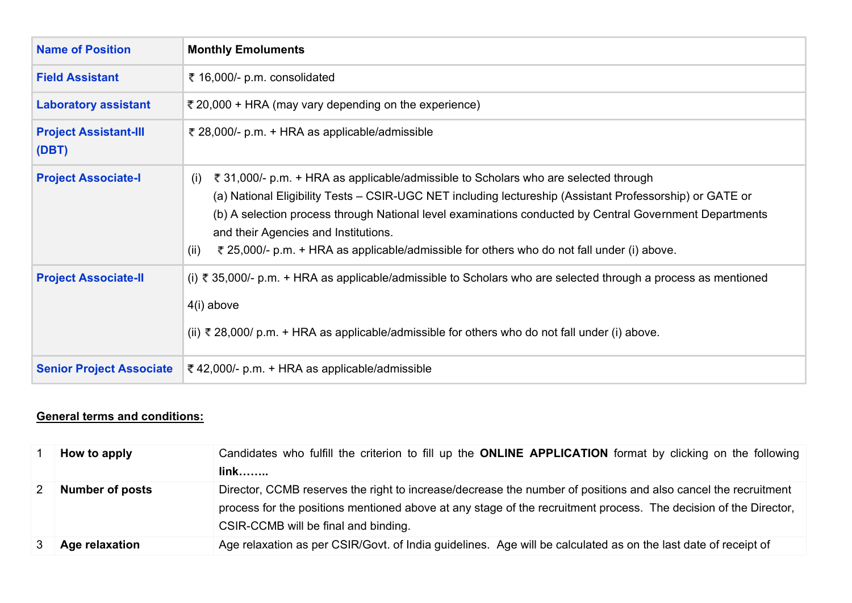| <b>Name of Position</b>               | <b>Monthly Emoluments</b>                                                                                                                                                                                                                                                                                                                                                                                                                                       |
|---------------------------------------|-----------------------------------------------------------------------------------------------------------------------------------------------------------------------------------------------------------------------------------------------------------------------------------------------------------------------------------------------------------------------------------------------------------------------------------------------------------------|
| <b>Field Assistant</b>                | ₹ 16,000/- p.m. consolidated                                                                                                                                                                                                                                                                                                                                                                                                                                    |
| <b>Laboratory assistant</b>           | ₹ 20,000 + HRA (may vary depending on the experience)                                                                                                                                                                                                                                                                                                                                                                                                           |
| <b>Project Assistant-III</b><br>(DBT) | ₹ 28,000/- p.m. + HRA as applicable/admissible                                                                                                                                                                                                                                                                                                                                                                                                                  |
| <b>Project Associate-I</b>            | ₹ 31,000/- p.m. + HRA as applicable/admissible to Scholars who are selected through<br>(i)<br>(a) National Eligibility Tests – CSIR-UGC NET including lectureship (Assistant Professorship) or GATE or<br>(b) A selection process through National level examinations conducted by Central Government Departments<br>and their Agencies and Institutions.<br>₹ 25,000/- p.m. + HRA as applicable/admissible for others who do not fall under (i) above.<br>(ii) |
| <b>Project Associate-II</b>           | (i) ₹ 35,000/- p.m. + HRA as applicable/admissible to Scholars who are selected through a process as mentioned<br>$4(i)$ above<br>(ii) ₹ 28,000/ p.m. + HRA as applicable/admissible for others who do not fall under (i) above.                                                                                                                                                                                                                                |
| <b>Senior Project Associate</b>       | ₹ 42,000/- p.m. + HRA as applicable/admissible                                                                                                                                                                                                                                                                                                                                                                                                                  |

## **General terms and conditions:**

| How to apply           | Candidates who fulfill the criterion to fill up the ONLINE APPLICATION format by clicking on the following<br>$link$                                                                                                                                                       |
|------------------------|----------------------------------------------------------------------------------------------------------------------------------------------------------------------------------------------------------------------------------------------------------------------------|
|                        |                                                                                                                                                                                                                                                                            |
| <b>Number of posts</b> | Director, CCMB reserves the right to increase/decrease the number of positions and also cancel the recruitment<br>process for the positions mentioned above at any stage of the recruitment process. The decision of the Director,<br>CSIR-CCMB will be final and binding. |
| Age relaxation         | Age relaxation as per CSIR/Govt. of India guidelines. Age will be calculated as on the last date of receipt of                                                                                                                                                             |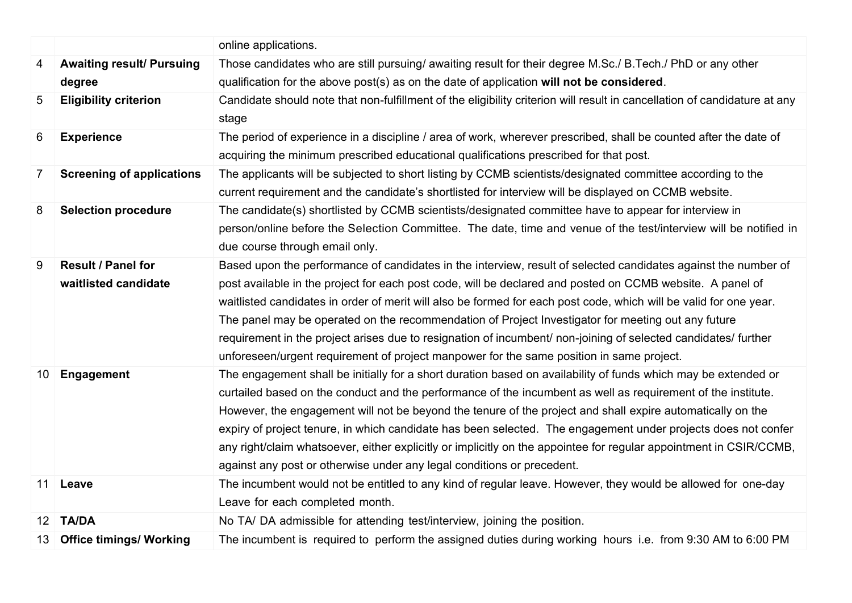|                 |                                  | online applications.                                                                                                      |
|-----------------|----------------------------------|---------------------------------------------------------------------------------------------------------------------------|
| 4               | <b>Awaiting result/ Pursuing</b> | Those candidates who are still pursuing/ awaiting result for their degree M.Sc./ B.Tech./ PhD or any other                |
|                 | degree                           | qualification for the above post(s) as on the date of application will not be considered.                                 |
| 5               | <b>Eligibility criterion</b>     | Candidate should note that non-fulfillment of the eligibility criterion will result in cancellation of candidature at any |
|                 |                                  | stage                                                                                                                     |
| 6               | <b>Experience</b>                | The period of experience in a discipline / area of work, wherever prescribed, shall be counted after the date of          |
|                 |                                  | acquiring the minimum prescribed educational qualifications prescribed for that post.                                     |
| $\overline{7}$  | <b>Screening of applications</b> | The applicants will be subjected to short listing by CCMB scientists/designated committee according to the                |
|                 |                                  | current requirement and the candidate's shortlisted for interview will be displayed on CCMB website.                      |
| 8               | <b>Selection procedure</b>       | The candidate(s) shortlisted by CCMB scientists/designated committee have to appear for interview in                      |
|                 |                                  | person/online before the Selection Committee. The date, time and venue of the test/interview will be notified in          |
|                 |                                  | due course through email only.                                                                                            |
| 9               | Result / Panel for               | Based upon the performance of candidates in the interview, result of selected candidates against the number of            |
|                 | waitlisted candidate             | post available in the project for each post code, will be declared and posted on CCMB website. A panel of                 |
|                 |                                  | waitlisted candidates in order of merit will also be formed for each post code, which will be valid for one year.         |
|                 |                                  | The panel may be operated on the recommendation of Project Investigator for meeting out any future                        |
|                 |                                  | requirement in the project arises due to resignation of incumbent/ non-joining of selected candidates/ further            |
|                 |                                  | unforeseen/urgent requirement of project manpower for the same position in same project.                                  |
| 10              | Engagement                       | The engagement shall be initially for a short duration based on availability of funds which may be extended or            |
|                 |                                  | curtailed based on the conduct and the performance of the incumbent as well as requirement of the institute.              |
|                 |                                  | However, the engagement will not be beyond the tenure of the project and shall expire automatically on the                |
|                 |                                  | expiry of project tenure, in which candidate has been selected. The engagement under projects does not confer             |
|                 |                                  | any right/claim whatsoever, either explicitly or implicitly on the appointee for regular appointment in CSIR/CCMB,        |
|                 |                                  | against any post or otherwise under any legal conditions or precedent.                                                    |
| 11 <sup>1</sup> | Leave                            | The incumbent would not be entitled to any kind of regular leave. However, they would be allowed for one-day              |
|                 |                                  | Leave for each completed month.                                                                                           |
| 12              | <b>TA/DA</b>                     | No TA/DA admissible for attending test/interview, joining the position.                                                   |
| 13              | <b>Office timings/ Working</b>   | The incumbent is required to perform the assigned duties during working hours i.e. from 9:30 AM to 6:00 PM                |